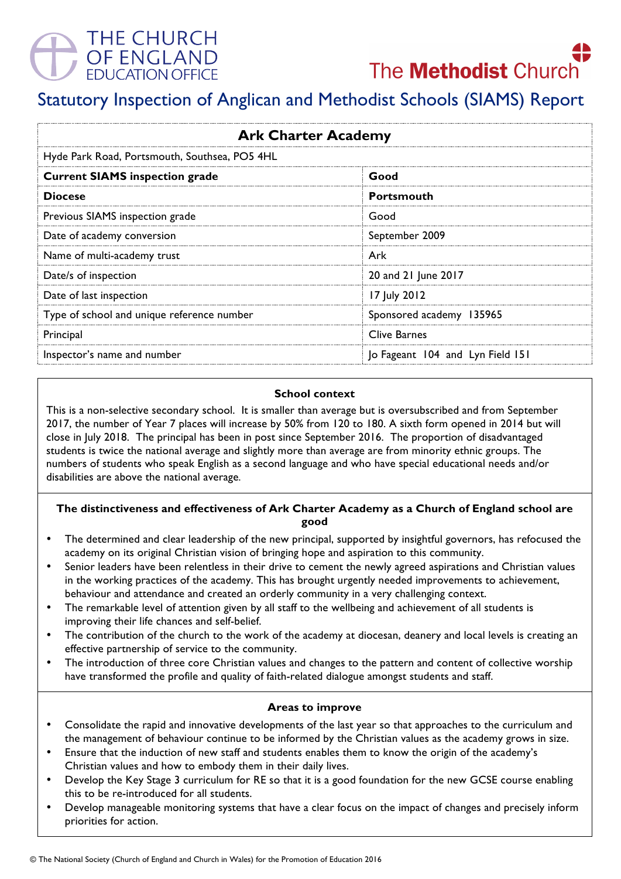



# Statutory Inspection of Anglican and Methodist Schools (SIAMS) Report

| <b>Ark Charter Academy</b>                    |                                  |
|-----------------------------------------------|----------------------------------|
| Hyde Park Road, Portsmouth, Southsea, PO5 4HL |                                  |
| <b>Current SIAMS inspection grade</b>         | Good                             |
| <b>Diocese</b>                                | <b>Portsmouth</b>                |
| Previous SIAMS inspection grade               | Good                             |
| Date of academy conversion                    | September 2009                   |
| Name of multi-academy trust                   | Ark                              |
| Date/s of inspection                          | 20 and 21 June 2017              |
| Date of last inspection                       | 17 July 2012                     |
| Type of school and unique reference number    | Sponsored academy 135965         |
| Principal                                     | <b>Clive Barnes</b>              |
| Inspector's name and number                   | Jo Fageant 104 and Lyn Field 151 |

### **School context**

This is a non-selective secondary school. It is smaller than average but is oversubscribed and from September 2017, the number of Year 7 places will increase by 50% from 120 to 180. A sixth form opened in 2014 but will close in July 2018. The principal has been in post since September 2016. The proportion of disadvantaged students is twice the national average and slightly more than average are from minority ethnic groups. The numbers of students who speak English as a second language and who have special educational needs and/or disabilities are above the national average.

### **The distinctiveness and effectiveness of Ark Charter Academy as a Church of England school are good**

- The determined and clear leadership of the new principal, supported by insightful governors, has refocused the academy on its original Christian vision of bringing hope and aspiration to this community.
- Senior leaders have been relentless in their drive to cement the newly agreed aspirations and Christian values in the working practices of the academy. This has brought urgently needed improvements to achievement, behaviour and attendance and created an orderly community in a very challenging context.
- The remarkable level of attention given by all staff to the wellbeing and achievement of all students is improving their life chances and self-belief.
- The contribution of the church to the work of the academy at diocesan, deanery and local levels is creating an effective partnership of service to the community.
- The introduction of three core Christian values and changes to the pattern and content of collective worship have transformed the profile and quality of faith-related dialogue amongst students and staff.

## **Areas to improve**

- Consolidate the rapid and innovative developments of the last year so that approaches to the curriculum and the management of behaviour continue to be informed by the Christian values as the academy grows in size.
- Ensure that the induction of new staff and students enables them to know the origin of the academy's Christian values and how to embody them in their daily lives.
- Develop the Key Stage 3 curriculum for RE so that it is a good foundation for the new GCSE course enabling this to be re-introduced for all students.
- Develop manageable monitoring systems that have a clear focus on the impact of changes and precisely inform priorities for action.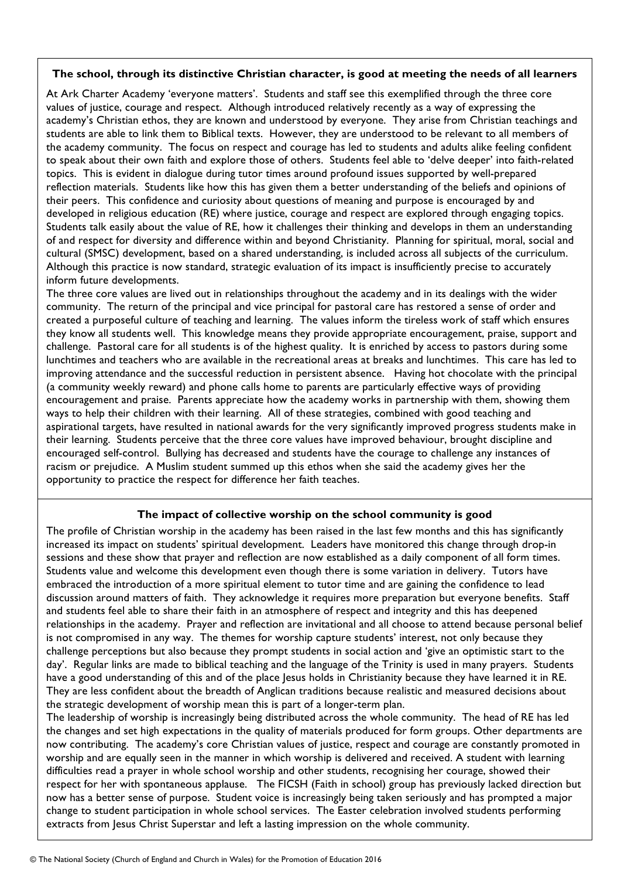### **The school, through its distinctive Christian character, is good at meeting the needs of all learners**

At Ark Charter Academy 'everyone matters'. Students and staff see this exemplified through the three core values of justice, courage and respect. Although introduced relatively recently as a way of expressing the academy's Christian ethos, they are known and understood by everyone. They arise from Christian teachings and students are able to link them to Biblical texts. However, they are understood to be relevant to all members of the academy community. The focus on respect and courage has led to students and adults alike feeling confident to speak about their own faith and explore those of others. Students feel able to 'delve deeper' into faith-related topics. This is evident in dialogue during tutor times around profound issues supported by well-prepared reflection materials. Students like how this has given them a better understanding of the beliefs and opinions of their peers. This confidence and curiosity about questions of meaning and purpose is encouraged by and developed in religious education (RE) where justice, courage and respect are explored through engaging topics. Students talk easily about the value of RE, how it challenges their thinking and develops in them an understanding of and respect for diversity and difference within and beyond Christianity. Planning for spiritual, moral, social and cultural (SMSC) development, based on a shared understanding, is included across all subjects of the curriculum. Although this practice is now standard, strategic evaluation of its impact is insufficiently precise to accurately inform future developments.

The three core values are lived out in relationships throughout the academy and in its dealings with the wider community. The return of the principal and vice principal for pastoral care has restored a sense of order and created a purposeful culture of teaching and learning. The values inform the tireless work of staff which ensures they know all students well. This knowledge means they provide appropriate encouragement, praise, support and challenge. Pastoral care for all students is of the highest quality. It is enriched by access to pastors during some lunchtimes and teachers who are available in the recreational areas at breaks and lunchtimes. This care has led to improving attendance and the successful reduction in persistent absence. Having hot chocolate with the principal (a community weekly reward) and phone calls home to parents are particularly effective ways of providing encouragement and praise. Parents appreciate how the academy works in partnership with them, showing them ways to help their children with their learning. All of these strategies, combined with good teaching and aspirational targets, have resulted in national awards for the very significantly improved progress students make in their learning. Students perceive that the three core values have improved behaviour, brought discipline and encouraged self-control. Bullying has decreased and students have the courage to challenge any instances of racism or prejudice. A Muslim student summed up this ethos when she said the academy gives her the opportunity to practice the respect for difference her faith teaches.

## **The impact of collective worship on the school community is good**

The profile of Christian worship in the academy has been raised in the last few months and this has significantly increased its impact on students' spiritual development. Leaders have monitored this change through drop-in sessions and these show that prayer and reflection are now established as a daily component of all form times. Students value and welcome this development even though there is some variation in delivery. Tutors have embraced the introduction of a more spiritual element to tutor time and are gaining the confidence to lead discussion around matters of faith. They acknowledge it requires more preparation but everyone benefits. Staff and students feel able to share their faith in an atmosphere of respect and integrity and this has deepened relationships in the academy. Prayer and reflection are invitational and all choose to attend because personal belief is not compromised in any way. The themes for worship capture students' interest, not only because they challenge perceptions but also because they prompt students in social action and 'give an optimistic start to the day'. Regular links are made to biblical teaching and the language of the Trinity is used in many prayers. Students have a good understanding of this and of the place Jesus holds in Christianity because they have learned it in RE. They are less confident about the breadth of Anglican traditions because realistic and measured decisions about the strategic development of worship mean this is part of a longer-term plan.

The leadership of worship is increasingly being distributed across the whole community. The head of RE has led the changes and set high expectations in the quality of materials produced for form groups. Other departments are now contributing. The academy's core Christian values of justice, respect and courage are constantly promoted in worship and are equally seen in the manner in which worship is delivered and received. A student with learning difficulties read a prayer in whole school worship and other students, recognising her courage, showed their respect for her with spontaneous applause. The FICSH (Faith in school) group has previously lacked direction but now has a better sense of purpose. Student voice is increasingly being taken seriously and has prompted a major change to student participation in whole school services. The Easter celebration involved students performing extracts from Jesus Christ Superstar and left a lasting impression on the whole community.